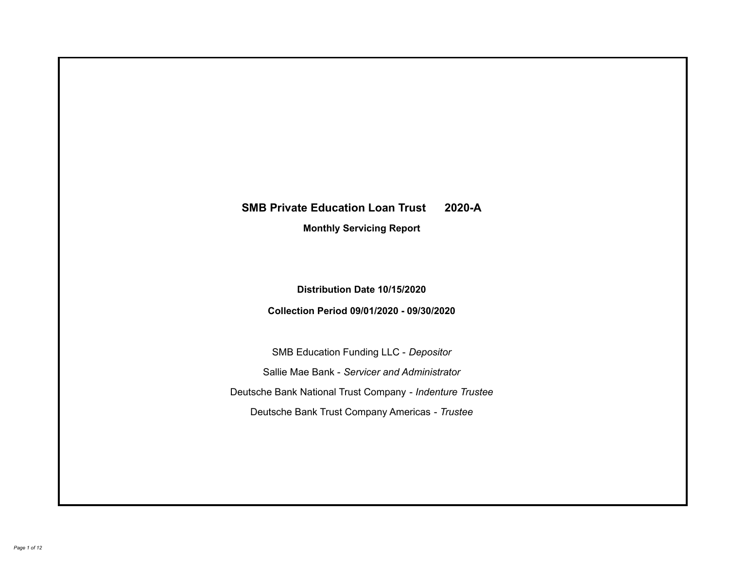# **SMB Private Education Loan Trust 2020-A Monthly Servicing Report**

## **Distribution Date 10/15/2020**

## **Collection Period 09/01/2020 - 09/30/2020**

SMB Education Funding LLC - *Depositor* Sallie Mae Bank - *Servicer and Administrator* Deutsche Bank National Trust Company - *Indenture Trustee* Deutsche Bank Trust Company Americas - *Trustee*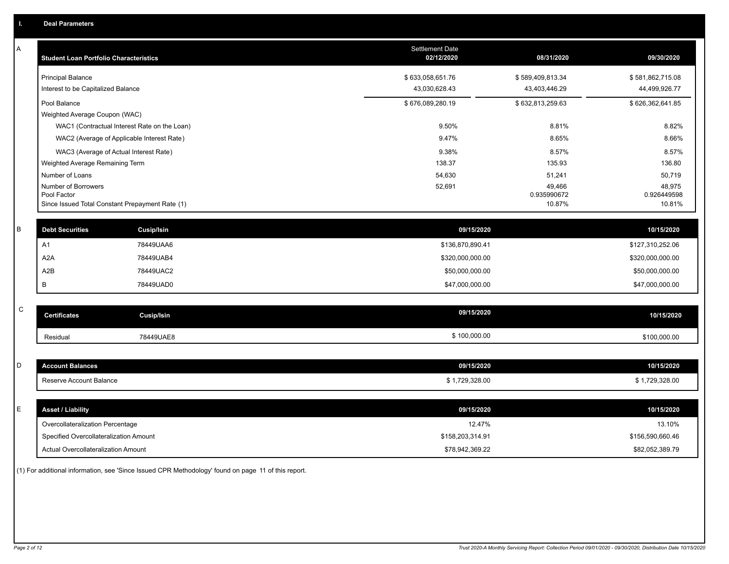| A           | <b>Student Loan Portfolio Characteristics</b>                                         |                                              | <b>Settlement Date</b><br>02/12/2020 | 08/31/2020                      | 09/30/2020                      |
|-------------|---------------------------------------------------------------------------------------|----------------------------------------------|--------------------------------------|---------------------------------|---------------------------------|
|             | <b>Principal Balance</b>                                                              |                                              | \$633,058,651.76                     | \$589,409,813.34                | \$581,862,715.08                |
|             | Interest to be Capitalized Balance                                                    |                                              | 43,030,628.43                        | 43,403,446.29                   | 44,499,926.77                   |
|             | Pool Balance                                                                          |                                              | \$676,089,280.19                     | \$632,813,259.63                | \$626,362,641.85                |
|             | Weighted Average Coupon (WAC)                                                         |                                              |                                      |                                 |                                 |
|             |                                                                                       | WAC1 (Contractual Interest Rate on the Loan) | 9.50%                                | 8.81%                           | 8.82%                           |
|             |                                                                                       | WAC2 (Average of Applicable Interest Rate)   | 9.47%                                | 8.65%                           | 8.66%                           |
|             | WAC3 (Average of Actual Interest Rate)                                                |                                              | 9.38%                                | 8.57%                           | 8.57%                           |
|             | Weighted Average Remaining Term                                                       |                                              | 138.37                               | 135.93                          | 136.80                          |
|             | Number of Loans                                                                       |                                              | 54,630                               | 51,241                          | 50,719                          |
|             | Number of Borrowers<br>Pool Factor<br>Since Issued Total Constant Prepayment Rate (1) |                                              | 52,691                               | 49,466<br>0.935990672<br>10.87% | 48,975<br>0.926449598<br>10.81% |
|             |                                                                                       |                                              |                                      |                                 |                                 |
| $\sf B$     | <b>Debt Securities</b>                                                                | Cusip/Isin                                   | 09/15/2020                           |                                 | 10/15/2020                      |
|             | A <sub>1</sub>                                                                        | 78449UAA6                                    | \$136,870,890.41                     |                                 | \$127,310,252.06                |
|             | A <sub>2</sub> A                                                                      | 78449UAB4                                    | \$320,000,000.00                     |                                 | \$320,000,000.00                |
|             | A2B                                                                                   | 78449UAC2                                    | \$50,000,000.00                      |                                 | \$50,000,000.00                 |
|             | В                                                                                     | 78449UAD0                                    | \$47,000,000.00                      |                                 | \$47,000,000.00                 |
|             |                                                                                       |                                              |                                      |                                 |                                 |
| $\mathsf C$ | <b>Certificates</b>                                                                   | <b>Cusip/Isin</b>                            | 09/15/2020                           |                                 | 10/15/2020                      |
|             | Residual                                                                              | 78449UAE8                                    | \$100,000.00                         |                                 | \$100,000.00                    |
|             |                                                                                       |                                              |                                      |                                 |                                 |
| D           | <b>Account Balances</b>                                                               |                                              | 09/15/2020                           |                                 | 10/15/2020                      |
|             | Reserve Account Balance                                                               |                                              | \$1,729,328.00                       |                                 | \$1,729,328.00                  |
|             |                                                                                       |                                              |                                      |                                 |                                 |
| Е           | <b>Asset / Liability</b>                                                              |                                              | 09/15/2020                           |                                 | 10/15/2020                      |
|             | Overcollateralization Percentage                                                      |                                              | 12.47%                               |                                 | 13.10%                          |
|             | Specified Overcollateralization Amount                                                |                                              | \$158,203,314.91                     |                                 | \$156,590,660.46                |
|             | Actual Overcollateralization Amount                                                   |                                              | \$78.942.369.22                      |                                 | \$82.052.389.79                 |

(1) For additional information, see 'Since Issued CPR Methodology' found on page 11 of this report.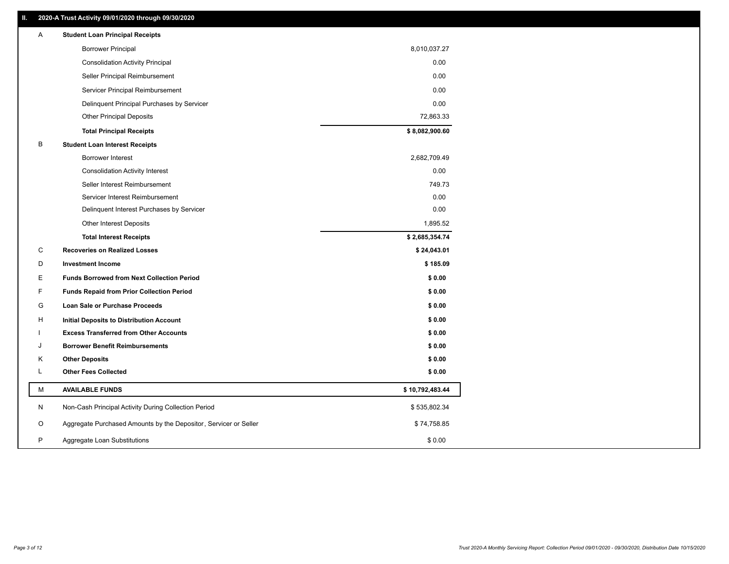| <b>Borrower Principal</b><br><b>Consolidation Activity Principal</b><br>Seller Principal Reimbursement<br>Servicer Principal Reimbursement<br>Delinquent Principal Purchases by Servicer<br><b>Other Principal Deposits</b><br><b>Total Principal Receipts</b> | 8,010,037.27<br>0.00<br>0.00<br>0.00<br>0.00<br>72,863.33<br>\$8,082,900.60 |
|----------------------------------------------------------------------------------------------------------------------------------------------------------------------------------------------------------------------------------------------------------------|-----------------------------------------------------------------------------|
|                                                                                                                                                                                                                                                                |                                                                             |
|                                                                                                                                                                                                                                                                |                                                                             |
|                                                                                                                                                                                                                                                                |                                                                             |
|                                                                                                                                                                                                                                                                |                                                                             |
|                                                                                                                                                                                                                                                                |                                                                             |
|                                                                                                                                                                                                                                                                |                                                                             |
|                                                                                                                                                                                                                                                                |                                                                             |
| В<br><b>Student Loan Interest Receipts</b>                                                                                                                                                                                                                     |                                                                             |
| <b>Borrower Interest</b>                                                                                                                                                                                                                                       | 2,682,709.49                                                                |
| <b>Consolidation Activity Interest</b>                                                                                                                                                                                                                         | 0.00                                                                        |
| Seller Interest Reimbursement                                                                                                                                                                                                                                  | 749.73                                                                      |
| Servicer Interest Reimbursement                                                                                                                                                                                                                                | 0.00                                                                        |
| Delinquent Interest Purchases by Servicer                                                                                                                                                                                                                      | 0.00                                                                        |
| Other Interest Deposits                                                                                                                                                                                                                                        | 1,895.52                                                                    |
| <b>Total Interest Receipts</b>                                                                                                                                                                                                                                 | \$2,685,354.74                                                              |
| С<br><b>Recoveries on Realized Losses</b>                                                                                                                                                                                                                      | \$24,043.01                                                                 |
| D<br><b>Investment Income</b>                                                                                                                                                                                                                                  | \$185.09                                                                    |
| Е<br><b>Funds Borrowed from Next Collection Period</b>                                                                                                                                                                                                         | \$0.00                                                                      |
| F<br><b>Funds Repaid from Prior Collection Period</b>                                                                                                                                                                                                          | \$0.00                                                                      |
| G<br>Loan Sale or Purchase Proceeds                                                                                                                                                                                                                            | \$0.00                                                                      |
| н<br><b>Initial Deposits to Distribution Account</b>                                                                                                                                                                                                           | \$0.00                                                                      |
| <b>Excess Transferred from Other Accounts</b>                                                                                                                                                                                                                  | \$0.00                                                                      |
| <b>Borrower Benefit Reimbursements</b><br>J                                                                                                                                                                                                                    | \$0.00                                                                      |
| Κ<br><b>Other Deposits</b>                                                                                                                                                                                                                                     | \$0.00                                                                      |
| L<br><b>Other Fees Collected</b>                                                                                                                                                                                                                               | \$0.00                                                                      |
| М<br><b>AVAILABLE FUNDS</b>                                                                                                                                                                                                                                    | \$10,792,483.44                                                             |
| N<br>Non-Cash Principal Activity During Collection Period                                                                                                                                                                                                      | \$535,802.34                                                                |
| Aggregate Purchased Amounts by the Depositor, Servicer or Seller<br>O                                                                                                                                                                                          | \$74,758.85                                                                 |
| P<br>Aggregate Loan Substitutions                                                                                                                                                                                                                              | \$0.00                                                                      |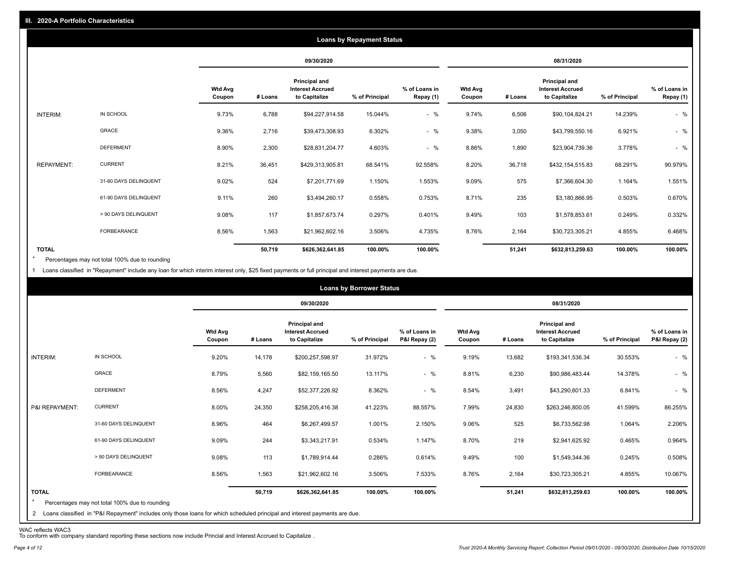|                   |                       |                          |         |                                                           | <b>Loans by Repayment Status</b> |                            |                          |         |                                                           |                |                            |
|-------------------|-----------------------|--------------------------|---------|-----------------------------------------------------------|----------------------------------|----------------------------|--------------------------|---------|-----------------------------------------------------------|----------------|----------------------------|
|                   |                       |                          |         | 09/30/2020                                                |                                  |                            |                          |         | 08/31/2020                                                |                |                            |
|                   |                       | <b>Wtd Avg</b><br>Coupon | # Loans | Principal and<br><b>Interest Accrued</b><br>to Capitalize | % of Principal                   | % of Loans in<br>Repay (1) | <b>Wtd Avg</b><br>Coupon | # Loans | Principal and<br><b>Interest Accrued</b><br>to Capitalize | % of Principal | % of Loans in<br>Repay (1) |
| INTERIM:          | IN SCHOOL             | 9.73%                    | 6,788   | \$94,227,914.58                                           | 15.044%                          | $-$ %                      | 9.74%                    | 6,506   | \$90,104,824.21                                           | 14.239%        | $-$ %                      |
|                   | GRACE                 | 9.36%                    | 2,716   | \$39,473,308.93                                           | 6.302%                           | $-$ %                      | 9.38%                    | 3,050   | \$43,799,550.16                                           | 6.921%         | $-$ %                      |
|                   | <b>DEFERMENT</b>      | 8.90%                    | 2,300   | \$28,831,204.77                                           | 4.603%                           | $-$ %                      | 8.86%                    | 1,890   | \$23,904,739.36                                           | 3.778%         | $-$ %                      |
| <b>REPAYMENT:</b> | <b>CURRENT</b>        | 8.21%                    | 36,451  | \$429,313,905.81                                          | 68.541%                          | 92.558%                    | 8.20%                    | 36,718  | \$432,154,515.83                                          | 68.291%        | 90.979%                    |
|                   | 31-60 DAYS DELINQUENT | 9.02%                    | 524     | \$7,201,771.69                                            | 1.150%                           | 1.553%                     | 9.09%                    | 575     | \$7,366,604.30                                            | 1.164%         | 1.551%                     |
|                   | 61-90 DAYS DELINQUENT | 9.11%                    | 260     | \$3,494,260.17                                            | 0.558%                           | 0.753%                     | 8.71%                    | 235     | \$3,180,866.95                                            | 0.503%         | 0.670%                     |
|                   | > 90 DAYS DELINQUENT  | 9.08%                    | 117     | \$1,857,673.74                                            | 0.297%                           | 0.401%                     | 9.49%                    | 103     | \$1,578,853.61                                            | 0.249%         | 0.332%                     |
|                   | <b>FORBEARANCE</b>    | 8.56%                    | 1,563   | \$21,962,602.16                                           | 3.506%                           | 4.735%                     | 8.76%                    | 2,164   | \$30,723,305.21                                           | 4.855%         | 6.468%                     |
| <b>TOTAL</b>      |                       |                          | 50,719  | \$626,362,641.85                                          | 100.00%                          | 100.00%                    |                          | 51,241  | \$632,813,259.63                                          | 100.00%        | 100.00%                    |

Percentages may not total 100% due to rounding \*

1 Loans classified in "Repayment" include any loan for which interim interest only, \$25 fixed payments or full principal and interest payments are due.

|                                |                                                                                                                                                                              |                          |         |                                                           | <b>Loans by Borrower Status</b> |                                |                          |         |                                                                  |                |                                |
|--------------------------------|------------------------------------------------------------------------------------------------------------------------------------------------------------------------------|--------------------------|---------|-----------------------------------------------------------|---------------------------------|--------------------------------|--------------------------|---------|------------------------------------------------------------------|----------------|--------------------------------|
|                                |                                                                                                                                                                              |                          |         | 09/30/2020                                                |                                 |                                |                          |         | 08/31/2020                                                       |                |                                |
|                                |                                                                                                                                                                              | <b>Wtd Avg</b><br>Coupon | # Loans | Principal and<br><b>Interest Accrued</b><br>to Capitalize | % of Principal                  | % of Loans in<br>P&I Repay (2) | <b>Wtd Avg</b><br>Coupon | # Loans | <b>Principal and</b><br><b>Interest Accrued</b><br>to Capitalize | % of Principal | % of Loans in<br>P&I Repay (2) |
| <b>INTERIM:</b>                | IN SCHOOL                                                                                                                                                                    | 9.20%                    | 14,178  | \$200,257,598.97                                          | 31.972%                         | $-$ %                          | 9.19%                    | 13,682  | \$193,341,536.34                                                 | 30.553%        | $-$ %                          |
|                                | <b>GRACE</b>                                                                                                                                                                 | 8.79%                    | 5,560   | \$82,159,165.50                                           | 13.117%                         | $-$ %                          | 8.81%                    | 6,230   | \$90,986,483.44                                                  | 14.378%        | $-$ %                          |
|                                | <b>DEFERMENT</b>                                                                                                                                                             | 8.56%                    | 4,247   | \$52,377,226.92                                           | 8.362%                          | $-$ %                          | 8.54%                    | 3,491   | \$43,290,601.33                                                  | 6.841%         | $-$ %                          |
| P&I REPAYMENT:                 | <b>CURRENT</b>                                                                                                                                                               | 8.00%                    | 24,350  | \$258,205,416.38                                          | 41.223%                         | 88.557%                        | 7.99%                    | 24,830  | \$263,246,800.05                                                 | 41.599%        | 86.255%                        |
|                                | 31-60 DAYS DELINQUENT                                                                                                                                                        | 8.96%                    | 464     | \$6,267,499.57                                            | 1.001%                          | 2.150%                         | 9.06%                    | 525     | \$6,733,562.98                                                   | 1.064%         | 2.206%                         |
|                                | 61-90 DAYS DELINQUENT                                                                                                                                                        | 9.09%                    | 244     | \$3,343,217.91                                            | 0.534%                          | 1.147%                         | 8.70%                    | 219     | \$2,941,625.92                                                   | 0.465%         | 0.964%                         |
|                                | > 90 DAYS DELINQUENT                                                                                                                                                         | 9.08%                    | 113     | \$1,789,914.44                                            | 0.286%                          | 0.614%                         | 9.49%                    | 100     | \$1,549,344.36                                                   | 0.245%         | 0.508%                         |
|                                | FORBEARANCE                                                                                                                                                                  | 8.56%                    | 1,563   | \$21,962,602.16                                           | 3.506%                          | 7.533%                         | 8.76%                    | 2,164   | \$30,723,305.21                                                  | 4.855%         | 10.067%                        |
| <b>TOTAL</b><br>$\overline{2}$ | Percentages may not total 100% due to rounding<br>Loans classified in "P&I Repayment" includes only those loans for which scheduled principal and interest payments are due. |                          | 50,719  | \$626,362,641.85                                          | 100.00%                         | 100.00%                        |                          | 51,241  | \$632,813,259.63                                                 | 100.00%        | 100.00%                        |

WAC reflects WAC3 To conform with company standard reporting these sections now include Princial and Interest Accrued to Capitalize .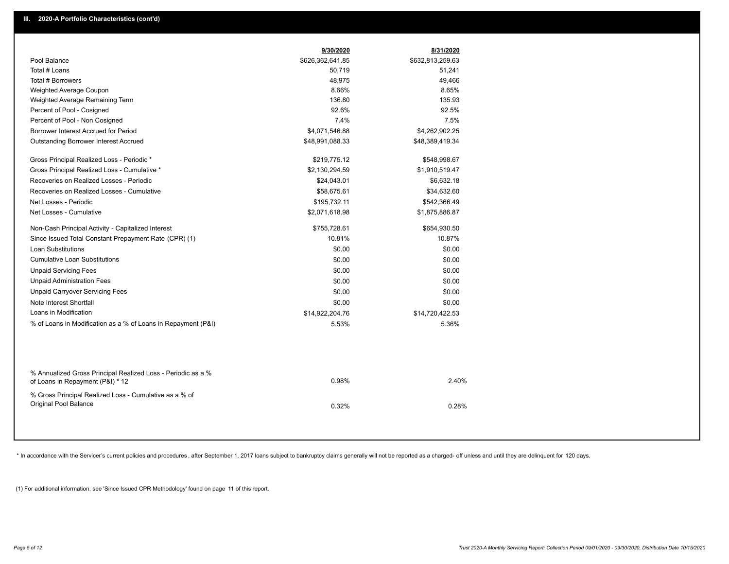|                                                                                                  | 9/30/2020        | 8/31/2020        |
|--------------------------------------------------------------------------------------------------|------------------|------------------|
| Pool Balance                                                                                     | \$626,362,641.85 | \$632,813,259.63 |
| Total # Loans                                                                                    | 50,719           | 51,241           |
| Total # Borrowers                                                                                | 48,975           | 49,466           |
| Weighted Average Coupon                                                                          | 8.66%            | 8.65%            |
| Weighted Average Remaining Term                                                                  | 136.80           | 135.93           |
| Percent of Pool - Cosigned                                                                       | 92.6%            | 92.5%            |
| Percent of Pool - Non Cosigned                                                                   | 7.4%             | 7.5%             |
| Borrower Interest Accrued for Period                                                             | \$4,071,546.88   | \$4,262,902.25   |
| <b>Outstanding Borrower Interest Accrued</b>                                                     | \$48,991,088.33  | \$48,389,419.34  |
| Gross Principal Realized Loss - Periodic *                                                       | \$219,775.12     | \$548,998.67     |
| Gross Principal Realized Loss - Cumulative *                                                     | \$2,130,294.59   | \$1,910,519.47   |
| Recoveries on Realized Losses - Periodic                                                         | \$24,043.01      | \$6,632.18       |
| Recoveries on Realized Losses - Cumulative                                                       | \$58,675.61      | \$34,632.60      |
| Net Losses - Periodic                                                                            | \$195,732.11     | \$542,366.49     |
| Net Losses - Cumulative                                                                          | \$2,071,618.98   | \$1,875,886.87   |
| Non-Cash Principal Activity - Capitalized Interest                                               | \$755,728.61     | \$654,930.50     |
| Since Issued Total Constant Prepayment Rate (CPR) (1)                                            | 10.81%           | 10.87%           |
| <b>Loan Substitutions</b>                                                                        | \$0.00           | \$0.00           |
| <b>Cumulative Loan Substitutions</b>                                                             | \$0.00           | \$0.00           |
| <b>Unpaid Servicing Fees</b>                                                                     | \$0.00           | \$0.00           |
| <b>Unpaid Administration Fees</b>                                                                | \$0.00           | \$0.00           |
| <b>Unpaid Carryover Servicing Fees</b>                                                           | \$0.00           | \$0.00           |
| Note Interest Shortfall                                                                          | \$0.00           | \$0.00           |
| Loans in Modification                                                                            | \$14,922,204.76  | \$14,720,422.53  |
| % of Loans in Modification as a % of Loans in Repayment (P&I)                                    | 5.53%            | 5.36%            |
|                                                                                                  |                  |                  |
| % Annualized Gross Principal Realized Loss - Periodic as a %<br>of Loans in Repayment (P&I) * 12 | 0.98%            | 2.40%            |
|                                                                                                  |                  |                  |
| % Gross Principal Realized Loss - Cumulative as a % of<br>Original Pool Balance                  | 0.32%            | 0.28%            |
|                                                                                                  |                  |                  |

\* In accordance with the Servicer's current policies and procedures, after September 1, 2017 loans subject to bankruptcy claims generally will not be reported as a charged- off unless and until they are delinquent for 120

(1) For additional information, see 'Since Issued CPR Methodology' found on page 11 of this report.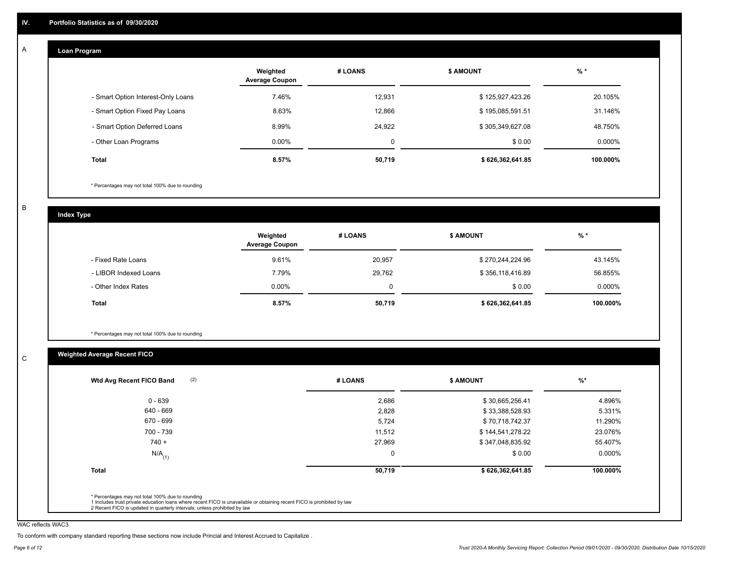#### **Loan Program**  A

|                                    | Weighted<br><b>Average Coupon</b> | # LOANS     | <b>\$ AMOUNT</b> | $%$ *    |
|------------------------------------|-----------------------------------|-------------|------------------|----------|
| - Smart Option Interest-Only Loans | 7.46%                             | 12,931      | \$125,927,423.26 | 20.105%  |
| - Smart Option Fixed Pay Loans     | 8.63%                             | 12,866      | \$195,085,591.51 | 31.146%  |
| - Smart Option Deferred Loans      | 8.99%                             | 24.922      | \$305,349,627.08 | 48.750%  |
| - Other Loan Programs              | $0.00\%$                          | $\mathbf 0$ | \$0.00           | 0.000%   |
| <b>Total</b>                       | $8.57\%$                          | 50,719      | \$626,362,641.85 | 100.000% |

\* Percentages may not total 100% due to rounding

B

C

**Index Type**

|                       | Weighted<br><b>Average Coupon</b> | # LOANS  | \$ AMOUNT        | $%$ *     |
|-----------------------|-----------------------------------|----------|------------------|-----------|
| - Fixed Rate Loans    | 9.61%                             | 20.957   | \$270,244,224.96 | 43.145%   |
| - LIBOR Indexed Loans | 7.79%                             | 29,762   | \$356,118,416.89 | 56.855%   |
| - Other Index Rates   | $0.00\%$                          | $\Omega$ | \$0.00           | $0.000\%$ |
| <b>Total</b>          | 8.57%                             | 50,719   | \$626,362,641.85 | 100.000%  |

\* Percentages may not total 100% due to rounding

## **Weighted Average Recent FICO**

| \$30,665,256.41<br>\$33,388,528.93<br>\$70,718,742.37 | 4.896%<br>5.331% |
|-------------------------------------------------------|------------------|
|                                                       |                  |
|                                                       |                  |
|                                                       | 11.290%          |
| \$144,541,278.22                                      | 23.076%          |
| \$347,048,835.92                                      | 55.407%          |
| \$0.00                                                | $0.000\%$        |
| \$626,362,641.85                                      | 100.000%         |
|                                                       |                  |

WAC reflects WAC3

To conform with company standard reporting these sections now include Princial and Interest Accrued to Capitalize .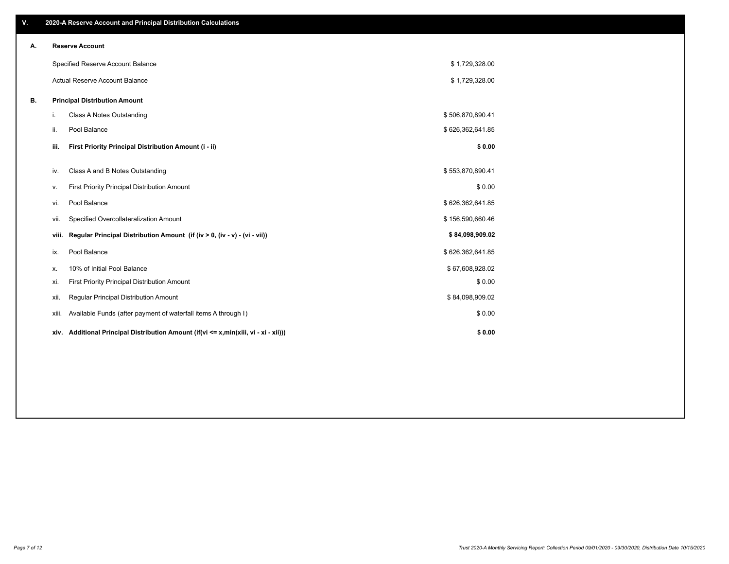| ٧. |       | 2020-A Reserve Account and Principal Distribution Calculations                       |                  |  |
|----|-------|--------------------------------------------------------------------------------------|------------------|--|
| А. |       | <b>Reserve Account</b>                                                               |                  |  |
|    |       | Specified Reserve Account Balance                                                    | \$1,729,328.00   |  |
|    |       | Actual Reserve Account Balance                                                       | \$1,729,328.00   |  |
| В. |       | <b>Principal Distribution Amount</b>                                                 |                  |  |
|    | i.    | Class A Notes Outstanding                                                            | \$506,870,890.41 |  |
|    | ii.   | Pool Balance                                                                         | \$626,362,641.85 |  |
|    | iii.  | First Priority Principal Distribution Amount (i - ii)                                | \$0.00           |  |
|    | iv.   | Class A and B Notes Outstanding                                                      | \$553,870,890.41 |  |
|    | v.    | First Priority Principal Distribution Amount                                         | \$0.00           |  |
|    | vi.   | Pool Balance                                                                         | \$626,362,641.85 |  |
|    | Vii.  | Specified Overcollateralization Amount                                               | \$156,590,660.46 |  |
|    | viii. | Regular Principal Distribution Amount (if (iv > 0, (iv - v) - (vi - vii))            | \$84,098,909.02  |  |
|    | ix.   | Pool Balance                                                                         | \$626,362,641.85 |  |
|    | х.    | 10% of Initial Pool Balance                                                          | \$67,608,928.02  |  |
|    | xi.   | First Priority Principal Distribution Amount                                         | \$0.00           |  |
|    | xii.  | Regular Principal Distribution Amount                                                | \$84,098,909.02  |  |
|    | xiii. | Available Funds (after payment of waterfall items A through I)                       | \$0.00           |  |
|    |       | xiv. Additional Principal Distribution Amount (if(vi <= x,min(xiii, vi - xi - xii))) | \$0.00           |  |
|    |       |                                                                                      |                  |  |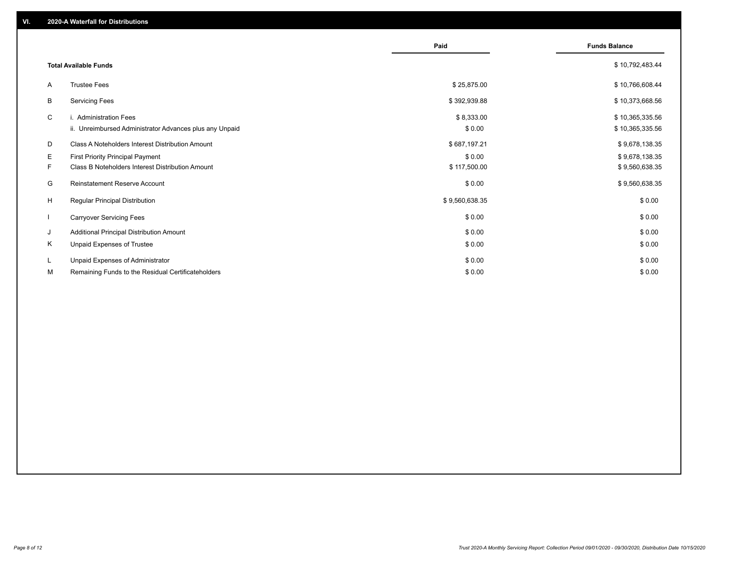|              |                                                                                   | Paid                 | <b>Funds Balance</b>               |
|--------------|-----------------------------------------------------------------------------------|----------------------|------------------------------------|
|              | <b>Total Available Funds</b>                                                      |                      | \$10,792,483.44                    |
| A            | <b>Trustee Fees</b>                                                               | \$25,875.00          | \$10,766,608.44                    |
| В            | <b>Servicing Fees</b>                                                             | \$392,939.88         | \$10,373,668.56                    |
| C            | i. Administration Fees<br>ii. Unreimbursed Administrator Advances plus any Unpaid | \$8,333.00<br>\$0.00 | \$10,365,335.56<br>\$10,365,335.56 |
| D            | Class A Noteholders Interest Distribution Amount                                  | \$687,197.21         | \$9,678,138.35                     |
| E.           | <b>First Priority Principal Payment</b>                                           | \$0.00               | \$9,678,138.35                     |
| F.           | Class B Noteholders Interest Distribution Amount                                  | \$117,500.00         | \$9,560,638.35                     |
| G            | <b>Reinstatement Reserve Account</b>                                              | \$0.00               | \$9,560,638.35                     |
| H            | <b>Regular Principal Distribution</b>                                             | \$9,560,638.35       | \$0.00                             |
| $\mathbf{I}$ | <b>Carryover Servicing Fees</b>                                                   | \$0.00               | \$0.00                             |
| J            | Additional Principal Distribution Amount                                          | \$0.00               | \$0.00                             |
| Κ            | Unpaid Expenses of Trustee                                                        | \$0.00               | \$0.00                             |
| L            | Unpaid Expenses of Administrator                                                  | \$0.00               | \$0.00                             |
| М            | Remaining Funds to the Residual Certificateholders                                | \$0.00               | \$0.00                             |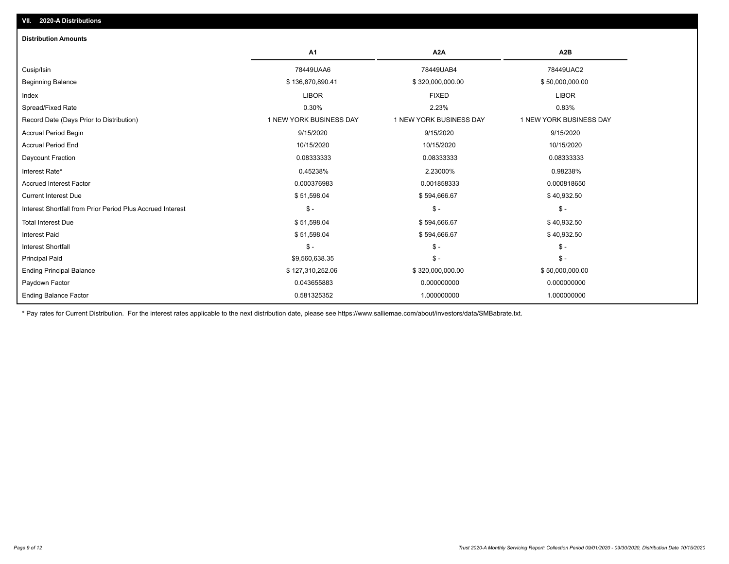| <b>Distribution Amounts</b>                                |                         |                         |                         |
|------------------------------------------------------------|-------------------------|-------------------------|-------------------------|
|                                                            | A1                      | A <sub>2</sub> A        | A <sub>2</sub> B        |
| Cusip/Isin                                                 | 78449UAA6               | 78449UAB4               | 78449UAC2               |
| <b>Beginning Balance</b>                                   | \$136,870,890.41        | \$320,000,000.00        | \$50,000,000.00         |
| Index                                                      | <b>LIBOR</b>            | <b>FIXED</b>            | <b>LIBOR</b>            |
| Spread/Fixed Rate                                          | 0.30%                   | 2.23%                   | 0.83%                   |
| Record Date (Days Prior to Distribution)                   | 1 NEW YORK BUSINESS DAY | 1 NEW YORK BUSINESS DAY | 1 NEW YORK BUSINESS DAY |
| <b>Accrual Period Begin</b>                                | 9/15/2020               | 9/15/2020               | 9/15/2020               |
| <b>Accrual Period End</b>                                  | 10/15/2020              | 10/15/2020              | 10/15/2020              |
| Daycount Fraction                                          | 0.08333333              | 0.08333333              | 0.08333333              |
| Interest Rate*                                             | 0.45238%                | 2.23000%                | 0.98238%                |
| <b>Accrued Interest Factor</b>                             | 0.000376983             | 0.001858333             | 0.000818650             |
| <b>Current Interest Due</b>                                | \$51,598.04             | \$594,666.67            | \$40,932.50             |
| Interest Shortfall from Prior Period Plus Accrued Interest | $\mathsf{\$}$ -         | $\mathcal{S}$ -         | $\mathsf{\$}$ -         |
| <b>Total Interest Due</b>                                  | \$51,598.04             | \$594,666.67            | \$40,932.50             |
| <b>Interest Paid</b>                                       | \$51,598.04             | \$594,666.67            | \$40,932.50             |
| Interest Shortfall                                         | $$ -$                   | $\mathsf{\$}$ -         | \$-                     |
| <b>Principal Paid</b>                                      | \$9,560,638.35          | $\frac{1}{2}$           | $$ -$                   |
| <b>Ending Principal Balance</b>                            | \$127,310,252.06        | \$320,000,000.00        | \$50,000,000.00         |
| Paydown Factor                                             | 0.043655883             | 0.000000000             | 0.000000000             |
| <b>Ending Balance Factor</b>                               | 0.581325352             | 1.000000000             | 1.000000000             |

\* Pay rates for Current Distribution. For the interest rates applicable to the next distribution date, please see https://www.salliemae.com/about/investors/data/SMBabrate.txt.

**VII. 2020-A Distributions**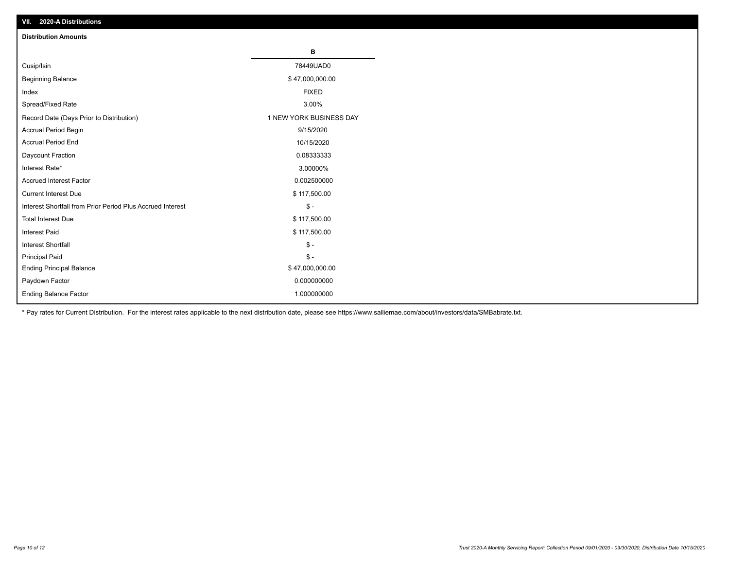| VII. 2020-A Distributions                                  |                         |
|------------------------------------------------------------|-------------------------|
| <b>Distribution Amounts</b>                                |                         |
|                                                            | в                       |
| Cusip/Isin                                                 | 78449UAD0               |
| <b>Beginning Balance</b>                                   | \$47,000,000.00         |
| Index                                                      | <b>FIXED</b>            |
| Spread/Fixed Rate                                          | 3.00%                   |
| Record Date (Days Prior to Distribution)                   | 1 NEW YORK BUSINESS DAY |
| Accrual Period Begin                                       | 9/15/2020               |
| <b>Accrual Period End</b>                                  | 10/15/2020              |
| Daycount Fraction                                          | 0.08333333              |
| Interest Rate*                                             | 3.00000%                |
| <b>Accrued Interest Factor</b>                             | 0.002500000             |
| <b>Current Interest Due</b>                                | \$117,500.00            |
| Interest Shortfall from Prior Period Plus Accrued Interest | $\mathsf{\$}$ -         |
| <b>Total Interest Due</b>                                  | \$117,500.00            |
| <b>Interest Paid</b>                                       | \$117,500.00            |
| Interest Shortfall                                         | $\mathbb{S}$ -          |
| <b>Principal Paid</b>                                      | $\frac{1}{2}$           |
| <b>Ending Principal Balance</b>                            | \$47,000,000.00         |
| Paydown Factor                                             | 0.000000000             |
| <b>Ending Balance Factor</b>                               | 1.000000000             |

\* Pay rates for Current Distribution. For the interest rates applicable to the next distribution date, please see https://www.salliemae.com/about/investors/data/SMBabrate.txt.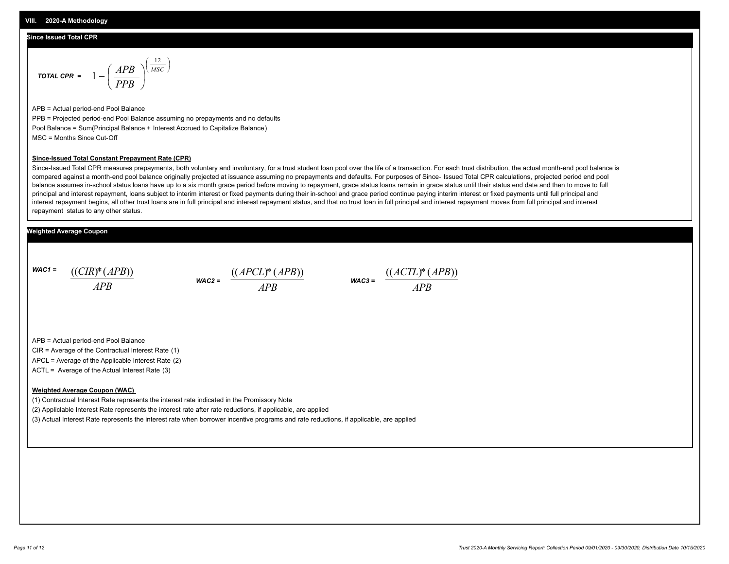#### **Since Issued Total CPR**

$$
\text{total CPR} = 1 - \left(\frac{APB}{PPB}\right)^{\left(\frac{12}{MSC}\right)}
$$

APB = Actual period-end Pool Balance PPB = Projected period-end Pool Balance assuming no prepayments and no defaults Pool Balance = Sum(Principal Balance + Interest Accrued to Capitalize Balance) MSC = Months Since Cut-Off

#### **Since-Issued Total Constant Prepayment Rate (CPR)**

Since-Issued Total CPR measures prepayments, both voluntary and involuntary, for a trust student loan pool over the life of a transaction. For each trust distribution, the actual month-end pool balance is compared against a month-end pool balance originally projected at issuance assuming no prepayments and defaults. For purposes of Since- Issued Total CPR calculations, projected period end pool balance assumes in-school status loans have up to a six month grace period before moving to repayment, grace status loans remain in grace status until their status end date and then to move to full principal and interest repayment, loans subject to interim interest or fixed payments during their in-school and grace period continue paying interim interest or fixed payments until full principal and interest repayment begins, all other trust loans are in full principal and interest repayment status, and that no trust loan in full principal and interest repayment moves from full principal and interest repayment status to any other status.

#### **Weighted Average Coupon**

*WAC1 = APB* ((*CIR*)\*(*APB*))

*WAC2 = APB*  $\frac{((APCL)^{*}(APB))}{APB}$  wac<sub>3</sub> =  $\frac{((ACTL)^{*}(A)P}{APB}$ 



APB = Actual period-end Pool Balance

CIR = Average of the Contractual Interest Rate (1)

APCL = Average of the Applicable Interest Rate (2)

ACTL = Average of the Actual Interest Rate (3)

#### **Weighted Average Coupon (WAC)**

(1) Contractual Interest Rate represents the interest rate indicated in the Promissory Note

(2) Appliclable Interest Rate represents the interest rate after rate reductions, if applicable, are applied

(3) Actual Interest Rate represents the interest rate when borrower incentive programs and rate reductions, if applicable, are applied